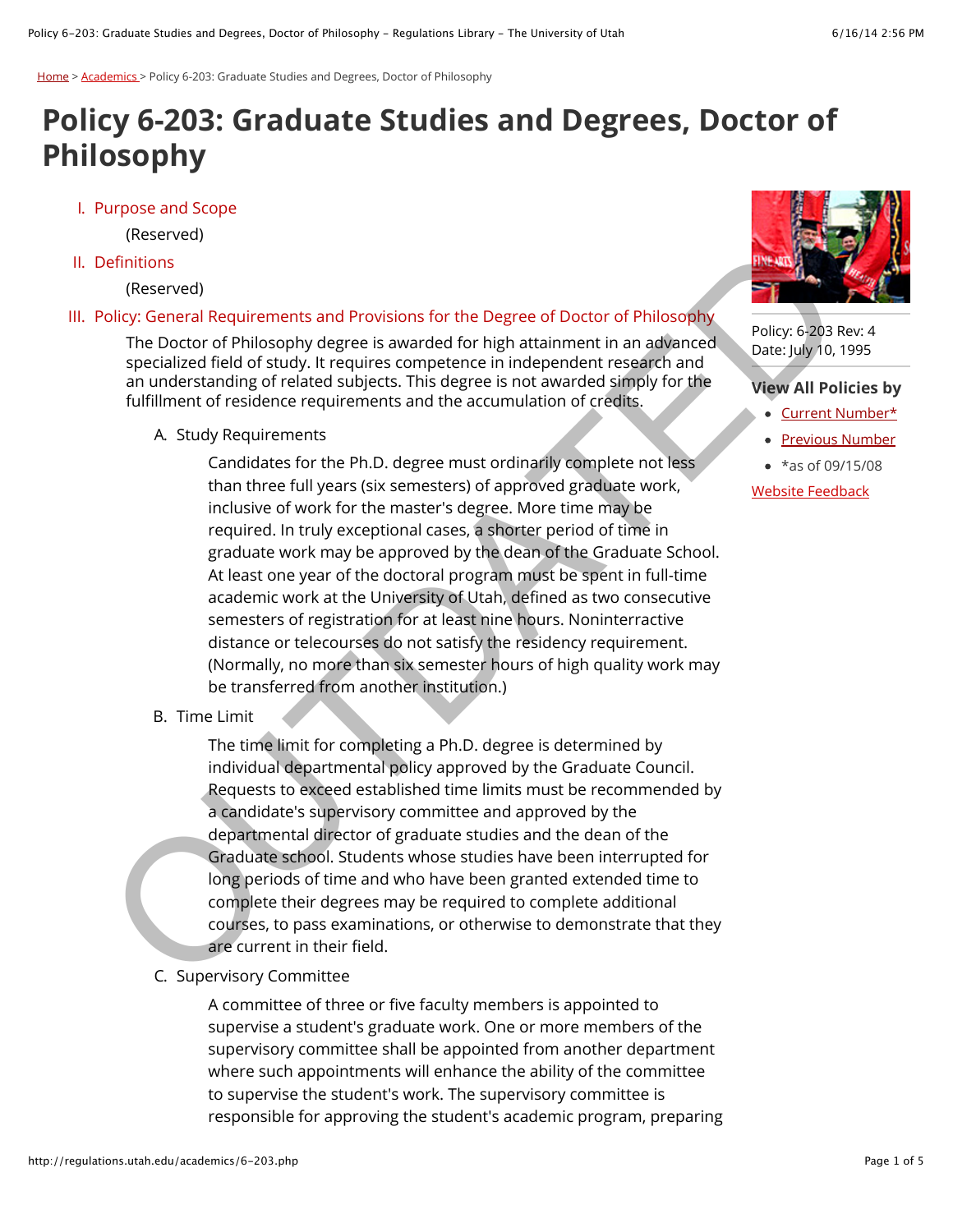[Home](http://regulations.utah.edu/) > [Academics >](http://regulations.utah.edu/academics/) Policy 6-203: Graduate Studies and Degrees, Doctor of Philosophy

# **Policy 6-203: Graduate Studies and Degrees, Doctor of Philosophy**

I. Purpose and Scope

(Reserved)

II. Definitions

(Reserved)

#### III. Policy: General Requirements and Provisions for the Degree of Doctor of Philosophy

The Doctor of Philosophy degree is awarded for high attainment in an advanced specialized field of study. It requires competence in independent research and an understanding of related subjects. This degree is not awarded simply for the fulfillment of residence requirements and the accumulation of credits.

A. Study Requirements

Candidates for the Ph.D. degree must ordinarily complete not less than three full years (six semesters) of approved graduate work, inclusive of work for the master's degree. More time may be required. In truly exceptional cases, a shorter period of time in graduate work may be approved by the dean of the Graduate School. At least one year of the doctoral program must be spent in full-time academic work at the University of Utah, defined as two consecutive semesters of registration for at least nine hours. Noninterractive distance or telecourses do not satisfy the residency requirement. (Normally, no more than six semester hours of high quality work may be transferred from another institution.) entitions<br>
(electrod)<br>
(electrod)<br>
The Doctor of Philosophy degree is awarded for high attainment in an advanced<br>
Dielocy: General Requirements and Provisions for the Degree of Doctor of Philosophy<br>
The Doctor of Philosoph

B. Time Limit

The time limit for completing a Ph.D. degree is determined by individual departmental policy approved by the Graduate Council. Requests to exceed established time limits must be recommended by a candidate's supervisory committee and approved by the departmental director of graduate studies and the dean of the Graduate school. Students whose studies have been interrupted for long periods of time and who have been granted extended time to complete their degrees may be required to complete additional courses, to pass examinations, or otherwise to demonstrate that they are current in their field.

C. Supervisory Committee

A committee of three or five faculty members is appointed to supervise a student's graduate work. One or more members of the supervisory committee shall be appointed from another department where such appointments will enhance the ability of the committee to supervise the student's work. The supervisory committee is responsible for approving the student's academic program, preparing



Policy: 6-203 Rev: 4 Date: July 10, 1995

#### **View All Policies by**

- [Current Number\\*](http://regulations.utah.edu/info/policyList.php)
- [Previous Number](http://regulations.utah.edu/info/previousList.php)
- $*$ as of 09/15/08

Website Feedback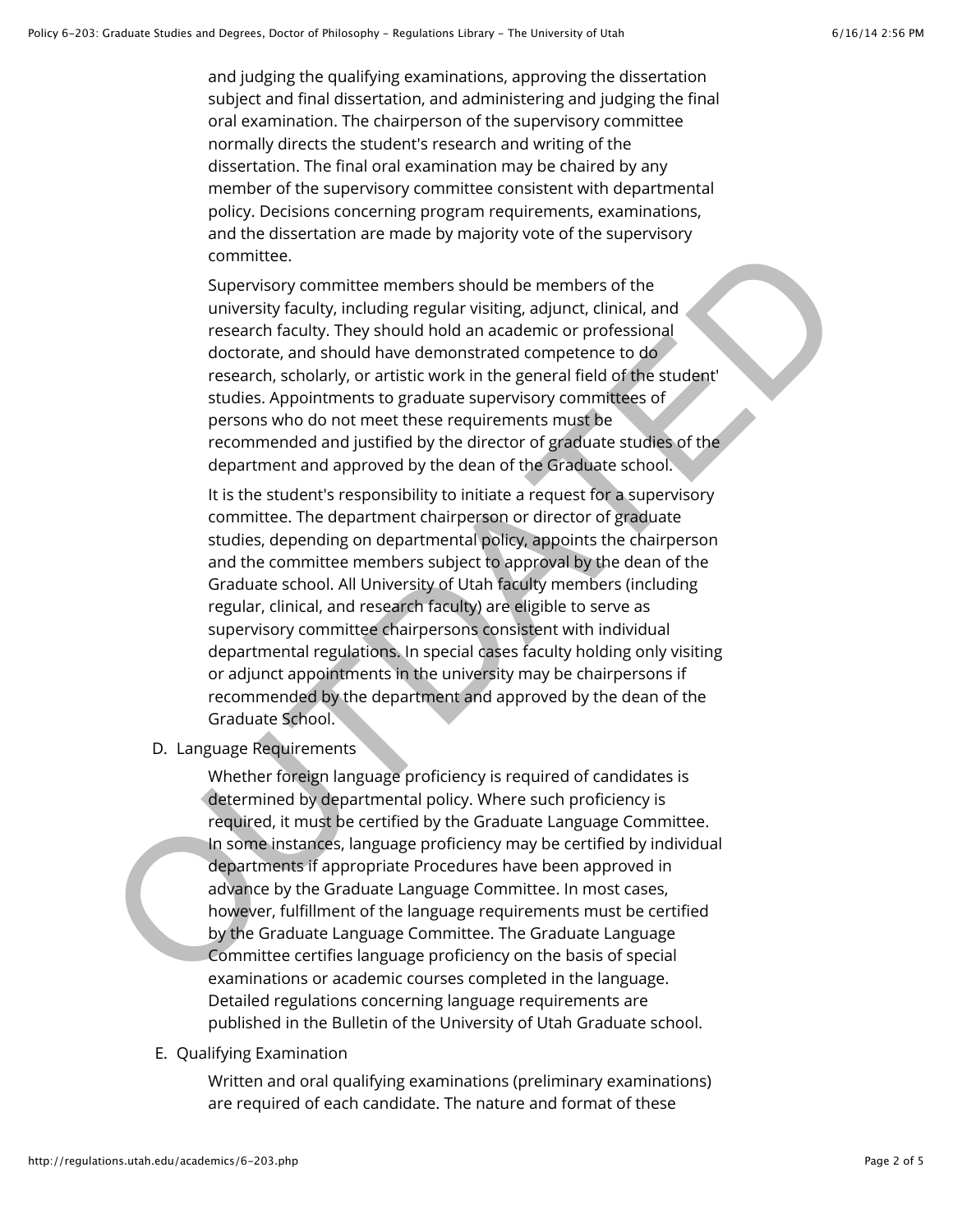and judging the qualifying examinations, approving the dissertation subject and final dissertation, and administering and judging the final oral examination. The chairperson of the supervisory committee normally directs the student's research and writing of the dissertation. The final oral examination may be chaired by any member of the supervisory committee consistent with departmental policy. Decisions concerning program requirements, examinations, and the dissertation are made by majority vote of the supervisory committee.

Supervisory committee members should be members of the university faculty, including regular visiting, adjunct, clinical, and research faculty. They should hold an academic or professional doctorate, and should have demonstrated competence to do research, scholarly, or artistic work in the general field of the student' studies. Appointments to graduate supervisory committees of persons who do not meet these requirements must be recommended and justified by the director of graduate studies of the department and approved by the dean of the Graduate school.

It is the student's responsibility to initiate a request for a supervisory committee. The department chairperson or director of graduate studies, depending on departmental policy, appoints the chairperson and the committee members subject to approval by the dean of the Graduate school. All University of Utah faculty members (including regular, clinical, and research faculty) are eligible to serve as supervisory committee chairpersons consistent with individual departmental regulations. In special cases faculty holding only visiting or adjunct appointments in the university may be chairpersons if recommended by the department and approved by the dean of the Graduate School. committee.<br>
Supprisony committee members should be members of the<br>
suniversity faculty, including regular visiting, adjunct, clinical, and<br>
research faculty. They should hold an academic or professional<br>
dectorate, and sho

D. Language Requirements

Whether foreign language proficiency is required of candidates is determined by departmental policy. Where such proficiency is required, it must be certified by the Graduate Language Committee. In some instances, language proficiency may be certified by individual departments if appropriate Procedures have been approved in advance by the Graduate Language Committee. In most cases, however, fulfillment of the language requirements must be certified by the Graduate Language Committee. The Graduate Language Committee certifies language proficiency on the basis of special examinations or academic courses completed in the language. Detailed regulations concerning language requirements are published in the Bulletin of the University of Utah Graduate school.

E. Qualifying Examination

Written and oral qualifying examinations (preliminary examinations) are required of each candidate. The nature and format of these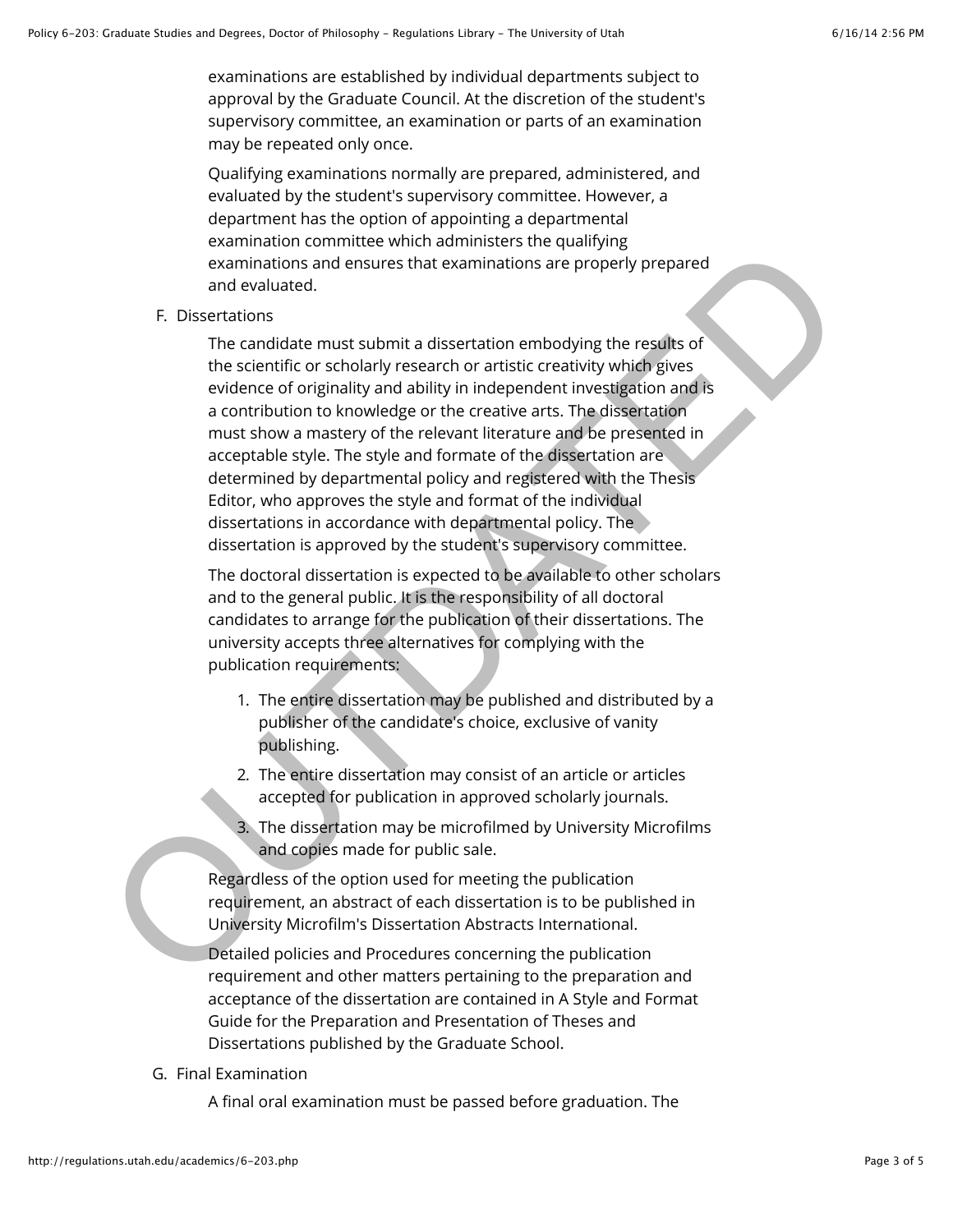examinations are established by individual departments subject to approval by the Graduate Council. At the discretion of the student's supervisory committee, an examination or parts of an examination may be repeated only once.

Qualifying examinations normally are prepared, administered, and evaluated by the student's supervisory committee. However, a department has the option of appointing a departmental examination committee which administers the qualifying examinations and ensures that examinations are properly prepared and evaluated.

#### F. Dissertations

The candidate must submit a dissertation embodying the results of the scientific or scholarly research or artistic creativity which gives evidence of originality and ability in independent investigation and is a contribution to knowledge or the creative arts. The dissertation must show a mastery of the relevant literature and be presented in acceptable style. The style and formate of the dissertation are determined by departmental policy and registered with the Thesis Editor, who approves the style and format of the individual dissertations in accordance with departmental policy. The dissertation is approved by the student's supervisory committee. examinations and ensures that examinations are properly prepared<br>examinations and ensures that examinations are properly prepared<br>and weakluncide.<br>The candidate must submit a discertation embodying the results of<br>the scien

The doctoral dissertation is expected to be available to other scholars and to the general public. It is the responsibility of all doctoral candidates to arrange for the publication of their dissertations. The university accepts three alternatives for complying with the publication requirements:

- 1. The entire dissertation may be published and distributed by a publisher of the candidate's choice, exclusive of vanity publishing.
- 2. The entire dissertation may consist of an article or articles accepted for publication in approved scholarly journals.
- 3. The dissertation may be microfilmed by University Microfilms and copies made for public sale.

Regardless of the option used for meeting the publication requirement, an abstract of each dissertation is to be published in University Microfilm's Dissertation Abstracts International.

Detailed policies and Procedures concerning the publication requirement and other matters pertaining to the preparation and acceptance of the dissertation are contained in A Style and Format Guide for the Preparation and Presentation of Theses and Dissertations published by the Graduate School.

G. Final Examination

A final oral examination must be passed before graduation. The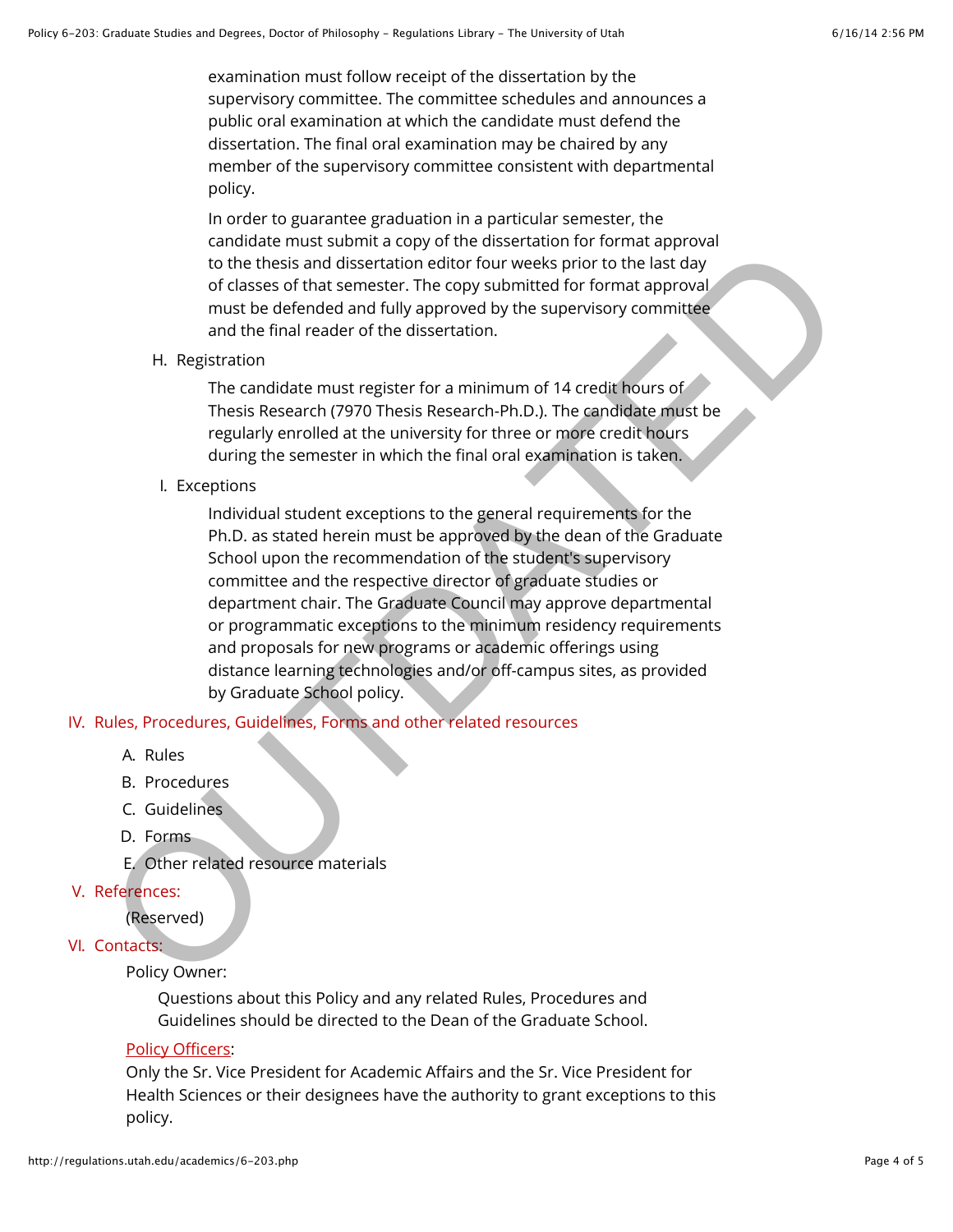examination must follow receipt of the dissertation by the supervisory committee. The committee schedules and announces a public oral examination at which the candidate must defend the dissertation. The final oral examination may be chaired by any member of the supervisory committee consistent with departmental policy.

In order to guarantee graduation in a particular semester, the candidate must submit a copy of the dissertation for format approval to the thesis and dissertation editor four weeks prior to the last day of classes of that semester. The copy submitted for format approval must be defended and fully approved by the supervisory committee and the final reader of the dissertation.

H. Registration

The candidate must register for a minimum of 14 credit hours of Thesis Research (7970 Thesis Research-Ph.D.). The candidate must be regularly enrolled at the university for three or more credit hours during the semester in which the final oral examination is taken.

I. Exceptions

Individual student exceptions to the general requirements for the Ph.D. as stated herein must be approved by the dean of the Graduate School upon the recommendation of the student's supervisory committee and the respective director of graduate studies or department chair. The Graduate Council may approve departmental or programmatic exceptions to the minimum residency requirements and proposals for new programs or academic offerings using distance learning technologies and/or off-campus sites, as provided by Graduate School policy. to the thesis and dissertation editor for weeks prior to the alast day<br>of classes of that sensete. The copy submitted for formal approversion<br>of classes of that sensetes. The copy submitted for formal approversion<br>must be

## IV. Rules, Procedures, Guidelines, Forms and other related resources

- A. Rules
- B. Procedures
- C. Guidelines
- D. Forms
- E. Other related resource materials
- V. References:

(Reserved)

VI. Contacts:

Policy Owner:

Questions about this Policy and any related Rules, Procedures and Guidelines should be directed to the Dean of the Graduate School.

## [Policy Officers](http://regulations.utah.edu/info/index.php):

Only the Sr. Vice President for Academic Affairs and the Sr. Vice President for Health Sciences or their designees have the authority to grant exceptions to this policy.